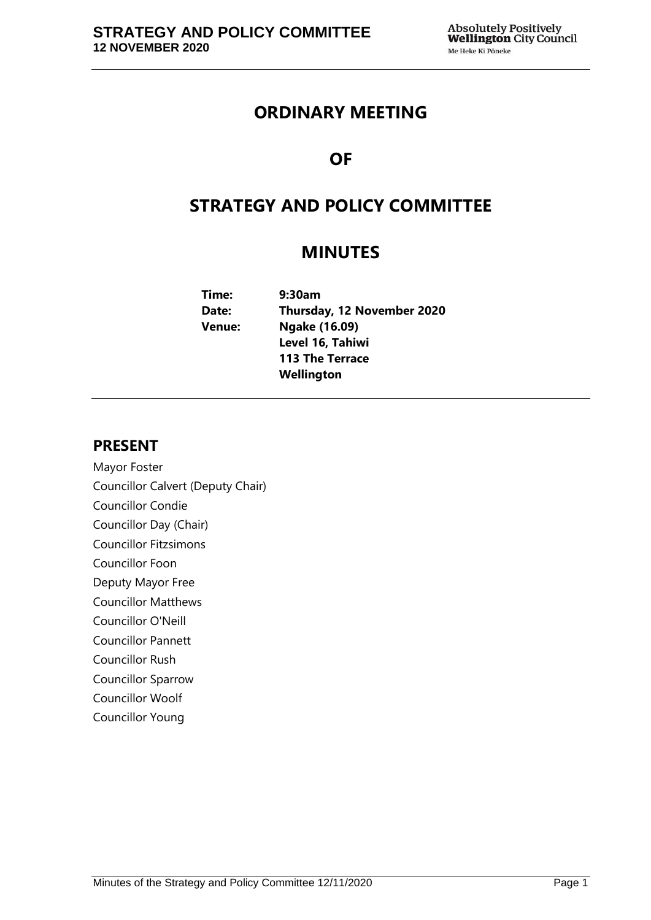# **ORDINARY MEETING**

# **OF**

# **STRATEGY AND POLICY COMMITTEE**

# **MINUTES**

| 9:30am                     |
|----------------------------|
| Thursday, 12 November 2020 |
| <b>Ngake (16.09)</b>       |
| Level 16, Tahiwi           |
| <b>113 The Terrace</b>     |
| Wellington                 |
|                            |

# **PRESENT**

Mayor Foster Councillor Calvert (Deputy Chair) Councillor Condie Councillor Day (Chair) Councillor Fitzsimons Councillor Foon Deputy Mayor Free Councillor Matthews Councillor O'Neill Councillor Pannett Councillor Rush Councillor Sparrow Councillor Woolf Councillor Young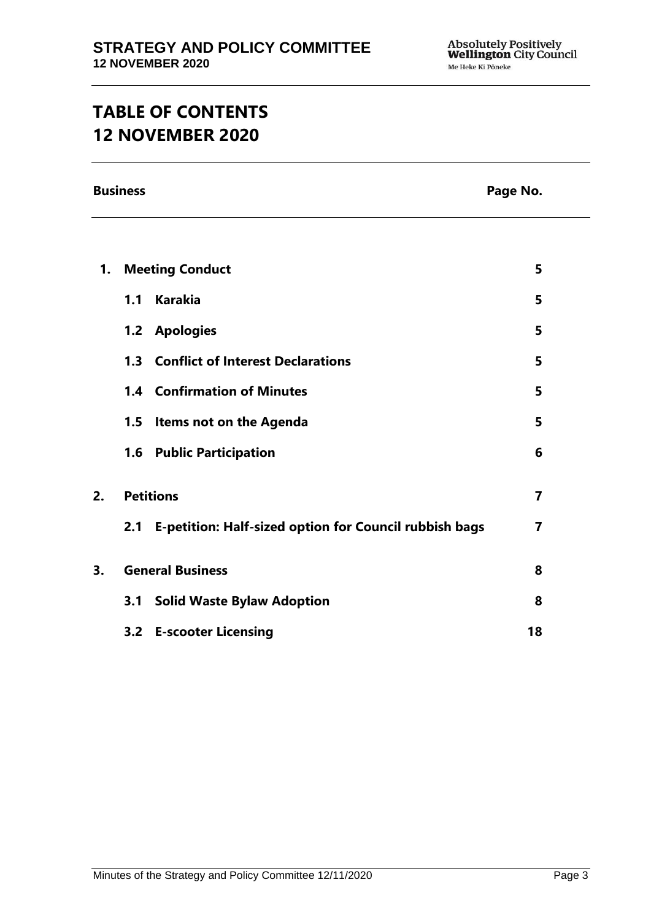# **TABLE OF CONTENTS 12 NOVEMBER 2020**

**Business Page No.**

| 1. |                  | <b>Meeting Conduct</b>                                     | 5  |
|----|------------------|------------------------------------------------------------|----|
|    | 1.1              | <b>Karakia</b>                                             | 5  |
|    |                  | 1.2 Apologies                                              | 5  |
|    |                  | 1.3 Conflict of Interest Declarations                      | 5  |
|    |                  | <b>1.4 Confirmation of Minutes</b>                         | 5  |
|    |                  | 1.5 Items not on the Agenda                                | 5  |
|    |                  | <b>1.6 Public Participation</b>                            | 6  |
| 2. | <b>Petitions</b> |                                                            | 7  |
|    |                  | 2.1 E-petition: Half-sized option for Council rubbish bags | 7  |
| 3. |                  | <b>General Business</b>                                    | 8  |
|    | 3.1              | <b>Solid Waste Bylaw Adoption</b>                          | 8  |
|    |                  | 3.2 E-scooter Licensing                                    | 18 |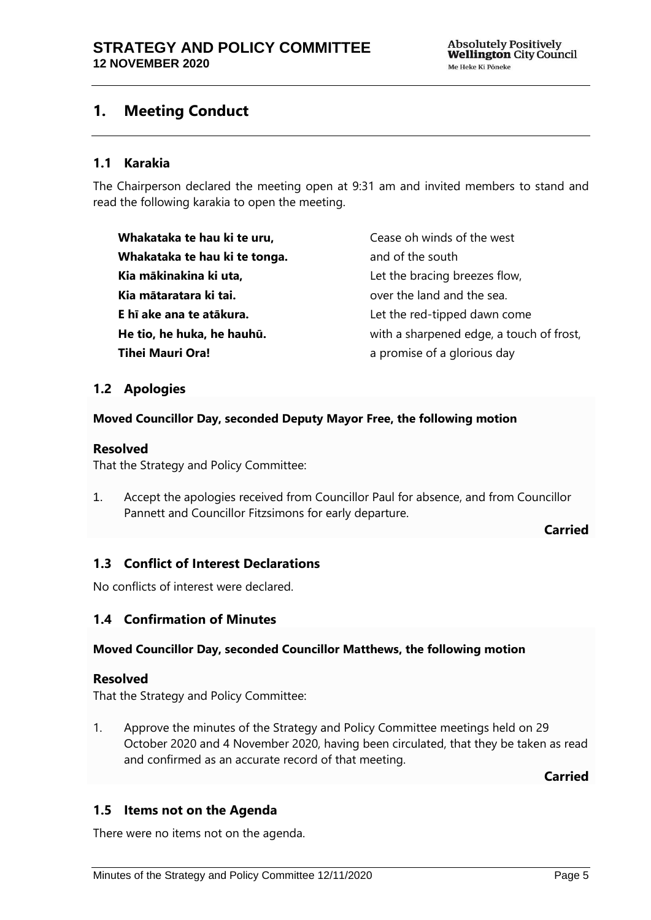# <span id="page-4-0"></span>**1. Meeting Conduct**

### **1.1 Karakia**

The Chairperson declared the meeting open at 9:31 am and invited members to stand and read the following karakia to open the meeting.

**Whakataka te hau ki te uru, Whakataka te hau ki te tonga. Kia mākinakina ki uta, Kia mātaratara ki tai. E hī ake ana te atākura. He tio, he huka, he hauhū. Tihei Mauri Ora!**

Cease oh winds of the west and of the south Let the bracing breezes flow, over the land and the sea. Let the red-tipped dawn come with a sharpened edge, a touch of frost, a promise of a glorious day

### <span id="page-4-1"></span>**1.2 Apologies**

### **Moved Councillor Day, seconded Deputy Mayor Free, the following motion**

### **Resolved**

That the Strategy and Policy Committee:

1. Accept the apologies received from Councillor Paul for absence, and from Councillor Pannett and Councillor Fitzsimons for early departure.

**Carried**

# <span id="page-4-2"></span>**1.3 Conflict of Interest Declarations**

No conflicts of interest were declared.

### <span id="page-4-3"></span>**1.4 Confirmation of Minutes**

### **Moved Councillor Day, seconded Councillor Matthews, the following motion**

### **Resolved**

That the Strategy and Policy Committee:

1. Approve the minutes of the Strategy and Policy Committee meetings held on 29 October 2020 and 4 November 2020, having been circulated, that they be taken as read and confirmed as an accurate record of that meeting.

**Carried**

# <span id="page-4-4"></span>**1.5 Items not on the Agenda**

There were no items not on the agenda.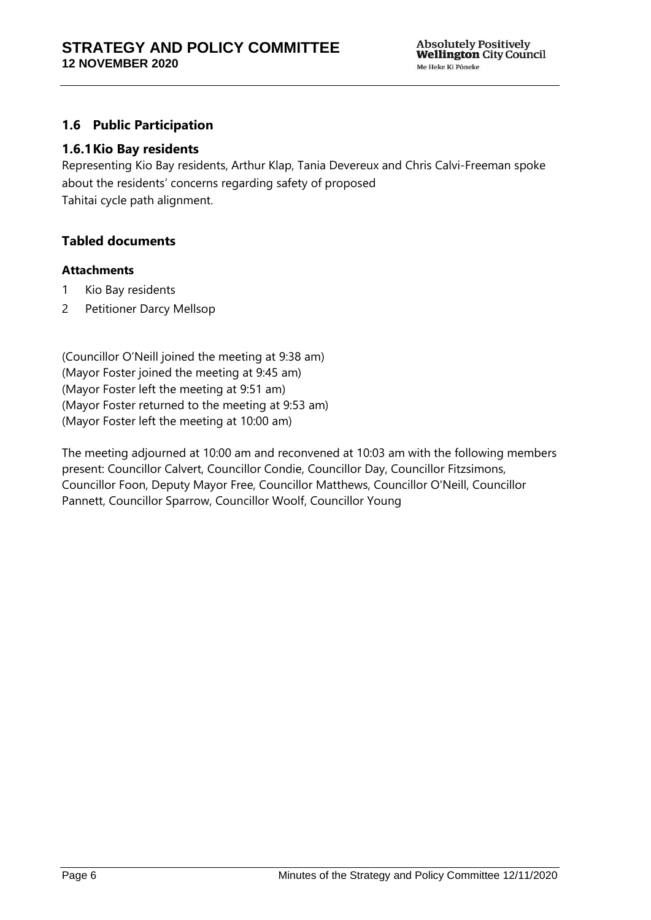# <span id="page-5-0"></span>**1.6 Public Participation**

### **1.6.1Kio Bay residents**

Representing Kio Bay residents, Arthur Klap, Tania Devereux and Chris Calvi-Freeman spoke about the residents' concerns regarding safety of proposed Tahitai cycle path alignment.

### **Tabled documents**

### **Attachments**

- 1 Kio Bay residents
- 2 Petitioner Darcy Mellsop

(Councillor O'Neill joined the meeting at 9:38 am) (Mayor Foster joined the meeting at 9:45 am) (Mayor Foster left the meeting at 9:51 am) (Mayor Foster returned to the meeting at 9:53 am) (Mayor Foster left the meeting at 10:00 am)

The meeting adjourned at 10:00 am and reconvened at 10:03 am with the following members present: Councillor Calvert, Councillor Condie, Councillor Day, Councillor Fitzsimons, Councillor Foon, Deputy Mayor Free, Councillor Matthews, Councillor O'Neill, Councillor Pannett, Councillor Sparrow, Councillor Woolf, Councillor Young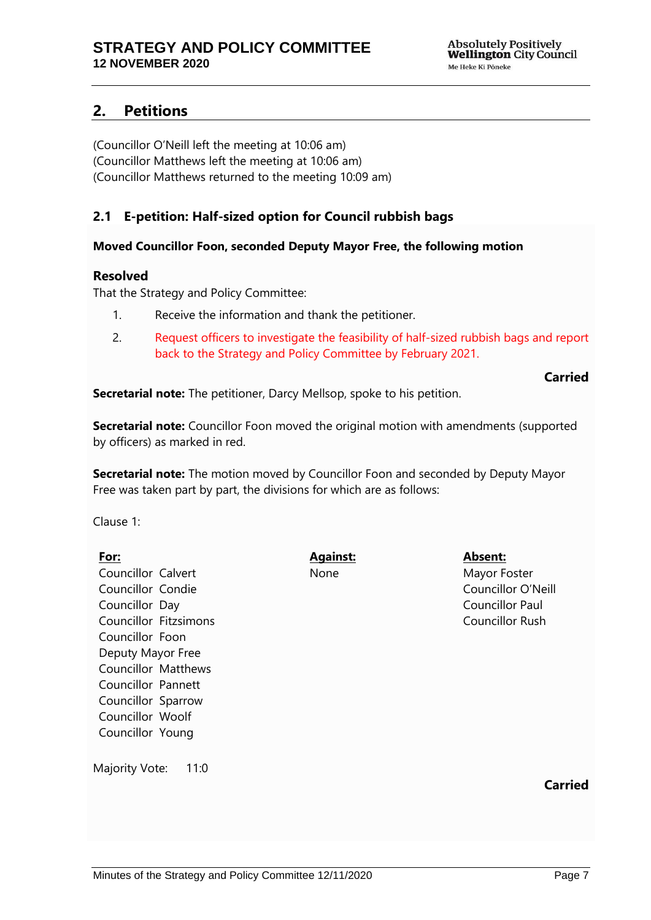# <span id="page-6-0"></span>**2. Petitions**

(Councillor O'Neill left the meeting at 10:06 am) (Councillor Matthews left the meeting at 10:06 am) (Councillor Matthews returned to the meeting 10:09 am)

# <span id="page-6-1"></span>**2.1 E-petition: Half-sized option for Council rubbish bags**

### **Moved Councillor Foon, seconded Deputy Mayor Free, the following motion**

### **Resolved**

That the Strategy and Policy Committee:

- 1. Receive the information and thank the petitioner.
- 2. Request officers to investigate the feasibility of half-sized rubbish bags and report back to the Strategy and Policy Committee by February 2021.

### **Carried**

**Secretarial note:** The petitioner, Darcy Mellsop, spoke to his petition.

**Secretarial note:** Councillor Foon moved the original motion with amendments (supported by officers) as marked in red.

**Secretarial note:** The motion moved by Councillor Foon and seconded by Deputy Mayor Free was taken part by part, the divisions for which are as follows:

Clause 1:

**For:** Councillor Calvert Councillor Condie Councillor Day Councillor Fitzsimons Councillor Foon Deputy Mayor Free Councillor Matthews Councillor Pannett Councillor Sparrow Councillor Woolf Councillor Young

**Against:** None

**Absent:** Mayor Foster Councillor O'Neill Councillor Paul Councillor Rush

Majority Vote: 11:0

**Carried**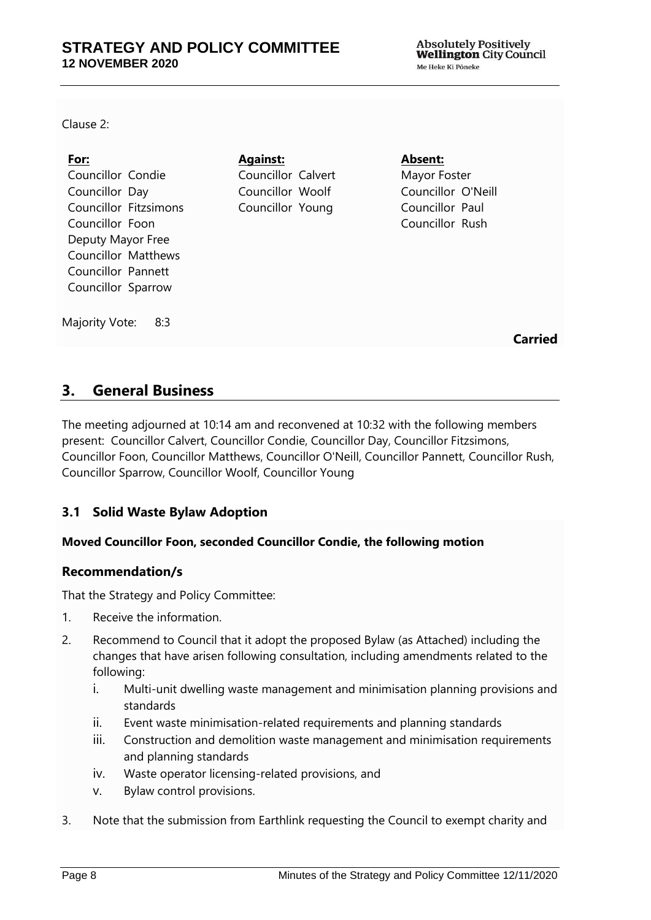Clause 2:

| <u>For:</u>                | <b>Against:</b>    | Absent:            |
|----------------------------|--------------------|--------------------|
| Councillor Condie          | Councillor Calvert | Mayor Foster       |
| Councillor Day             | Councillor Woolf   | Councillor O'Neill |
| Councillor Fitzsimons      | Councillor Young   | Councillor Paul    |
| Councillor Foon            |                    | Councillor Rush    |
| Deputy Mayor Free          |                    |                    |
| <b>Councillor Matthews</b> |                    |                    |
| Councillor Pannett         |                    |                    |
| Councillor Sparrow         |                    |                    |
|                            |                    |                    |
| Majority Vote:<br>8:3      |                    |                    |

**Carried**

# <span id="page-7-0"></span>**3. General Business**

The meeting adjourned at 10:14 am and reconvened at 10:32 with the following members present: Councillor Calvert, Councillor Condie, Councillor Day, Councillor Fitzsimons, Councillor Foon, Councillor Matthews, Councillor O'Neill, Councillor Pannett, Councillor Rush, Councillor Sparrow, Councillor Woolf, Councillor Young

# <span id="page-7-1"></span>**3.1 Solid Waste Bylaw Adoption**

### **Moved Councillor Foon, seconded Councillor Condie, the following motion**

### **Recommendation/s**

That the Strategy and Policy Committee:

- 1. Receive the information.
- 2. Recommend to Council that it adopt the proposed Bylaw (as Attached) including the changes that have arisen following consultation, including amendments related to the following:
	- i. Multi-unit dwelling waste management and minimisation planning provisions and standards
	- ii. Event waste minimisation-related requirements and planning standards
	- iii. Construction and demolition waste management and minimisation requirements and planning standards
	- iv. Waste operator licensing-related provisions, and
	- v. Bylaw control provisions.
- 3. Note that the submission from Earthlink requesting the Council to exempt charity and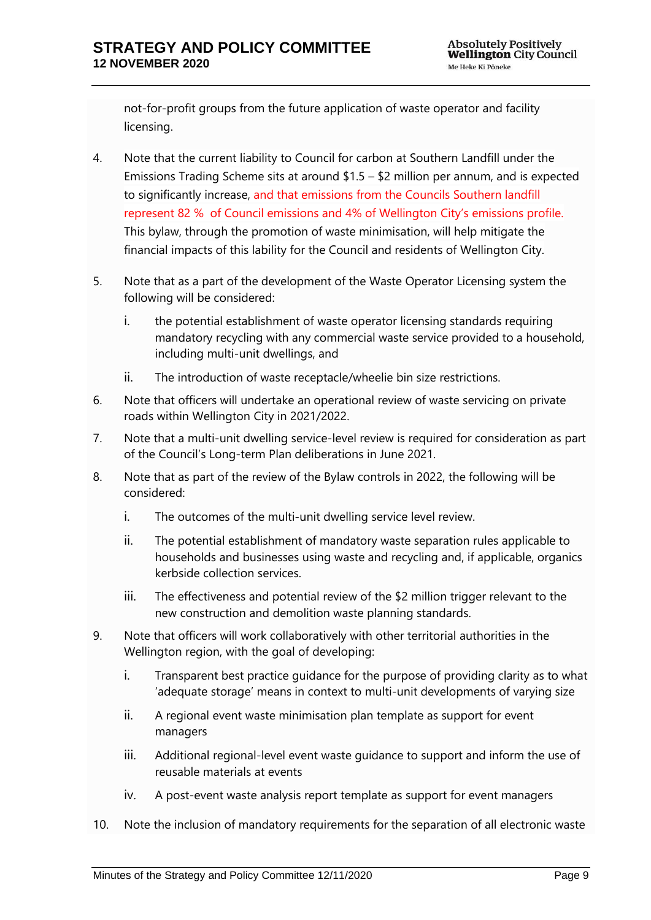not-for-profit groups from the future application of waste operator and facility licensing.

- 4. Note that the current liability to Council for carbon at Southern Landfill under the Emissions Trading Scheme sits at around \$1.5 – \$2 million per annum, and is expected to significantly increase, and that emissions from the Councils Southern landfill represent 82 % of Council emissions and 4% of Wellington City's emissions profile. This bylaw, through the promotion of waste minimisation, will help mitigate the financial impacts of this lability for the Council and residents of Wellington City.
- 5. Note that as a part of the development of the Waste Operator Licensing system the following will be considered:
	- i. the potential establishment of waste operator licensing standards requiring mandatory recycling with any commercial waste service provided to a household, including multi-unit dwellings, and
	- ii. The introduction of waste receptacle/wheelie bin size restrictions.
- 6. Note that officers will undertake an operational review of waste servicing on private roads within Wellington City in 2021/2022.
- 7. Note that a multi-unit dwelling service-level review is required for consideration as part of the Council's Long-term Plan deliberations in June 2021.
- 8. Note that as part of the review of the Bylaw controls in 2022, the following will be considered:
	- i. The outcomes of the multi-unit dwelling service level review.
	- ii. The potential establishment of mandatory waste separation rules applicable to households and businesses using waste and recycling and, if applicable, organics kerbside collection services.
	- iii. The effectiveness and potential review of the \$2 million trigger relevant to the new construction and demolition waste planning standards.
- 9. Note that officers will work collaboratively with other territorial authorities in the Wellington region, with the goal of developing:
	- i. Transparent best practice guidance for the purpose of providing clarity as to what 'adequate storage' means in context to multi-unit developments of varying size
	- ii. A regional event waste minimisation plan template as support for event managers
	- iii. Additional regional-level event waste guidance to support and inform the use of reusable materials at events
	- iv. A post-event waste analysis report template as support for event managers
- 10. Note the inclusion of mandatory requirements for the separation of all electronic waste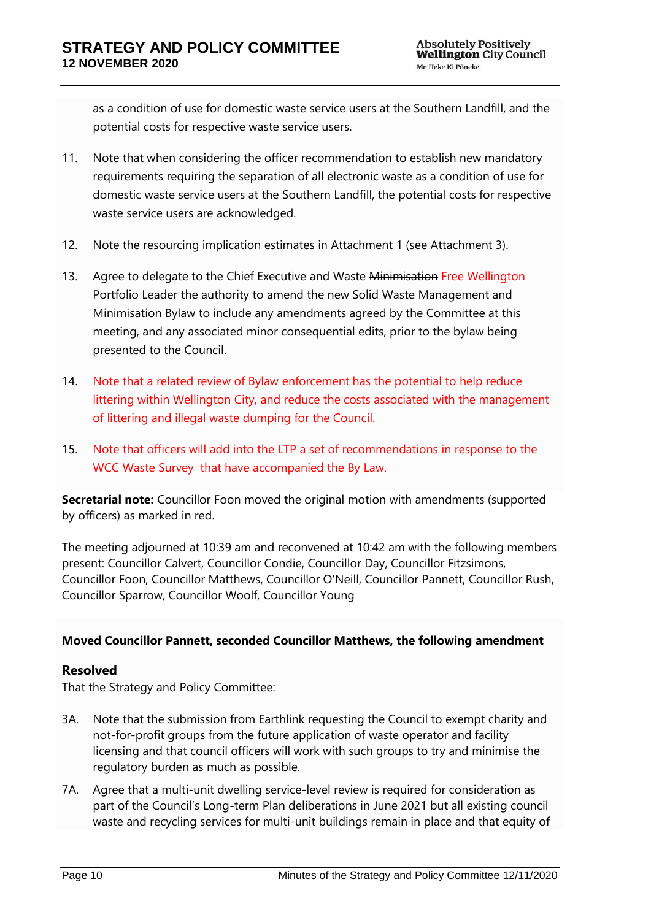as a condition of use for domestic waste service users at the Southern Landfill, and the potential costs for respective waste service users.

- 11. Note that when considering the officer recommendation to establish new mandatory requirements requiring the separation of all electronic waste as a condition of use for domestic waste service users at the Southern Landfill, the potential costs for respective waste service users are acknowledged.
- 12. Note the resourcing implication estimates in Attachment 1 (see Attachment 3).
- 13. Agree to delegate to the Chief Executive and Waste Minimisation Free Wellington Portfolio Leader the authority to amend the new Solid Waste Management and Minimisation Bylaw to include any amendments agreed by the Committee at this meeting, and any associated minor consequential edits, prior to the bylaw being presented to the Council.
- 14. Note that a related review of Bylaw enforcement has the potential to help reduce littering within Wellington City, and reduce the costs associated with the management of littering and illegal waste dumping for the Council.
- 15. Note that officers will add into the LTP a set of recommendations in response to the WCC Waste Survey that have accompanied the By Law.

**Secretarial note:** Councillor Foon moved the original motion with amendments (supported by officers) as marked in red.

The meeting adjourned at 10:39 am and reconvened at 10:42 am with the following members present: Councillor Calvert, Councillor Condie, Councillor Day, Councillor Fitzsimons, Councillor Foon, Councillor Matthews, Councillor O'Neill, Councillor Pannett, Councillor Rush, Councillor Sparrow, Councillor Woolf, Councillor Young

### **Moved Councillor Pannett, seconded Councillor Matthews, the following amendment**

# **Resolved**

That the Strategy and Policy Committee:

- 3A. Note that the submission from Earthlink requesting the Council to exempt charity and not-for-profit groups from the future application of waste operator and facility licensing and that council officers will work with such groups to try and minimise the regulatory burden as much as possible.
- 7A. Agree that a multi-unit dwelling service-level review is required for consideration as part of the Council's Long-term Plan deliberations in June 2021 but all existing council waste and recycling services for multi-unit buildings remain in place and that equity of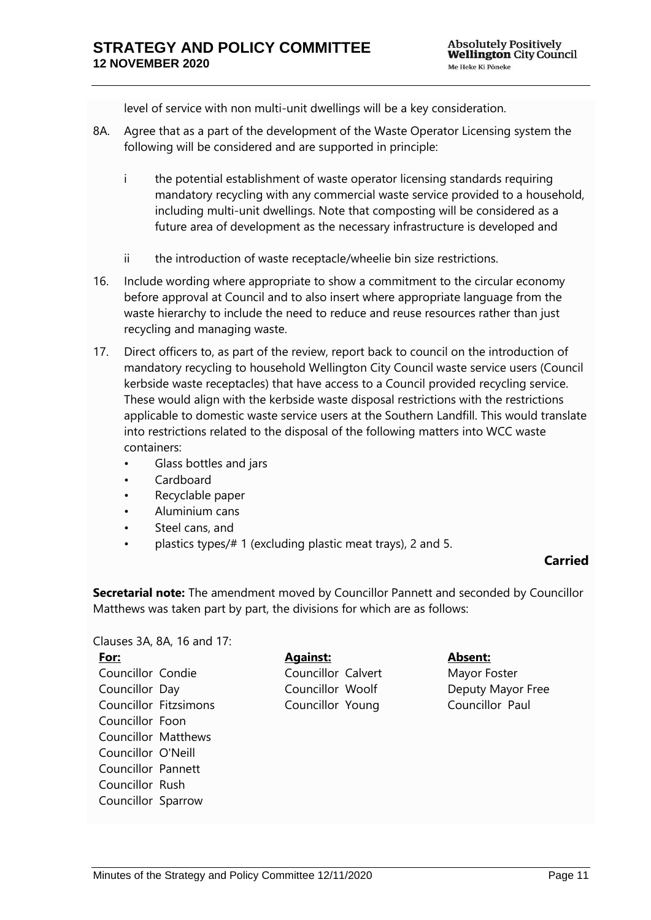level of service with non multi-unit dwellings will be a key consideration.

- 8A. Agree that as a part of the development of the Waste Operator Licensing system the following will be considered and are supported in principle:
	- i the potential establishment of waste operator licensing standards requiring mandatory recycling with any commercial waste service provided to a household, including multi-unit dwellings. Note that composting will be considered as a future area of development as the necessary infrastructure is developed and
	- ii the introduction of waste receptacle/wheelie bin size restrictions.
- 16. Include wording where appropriate to show a commitment to the circular economy before approval at Council and to also insert where appropriate language from the waste hierarchy to include the need to reduce and reuse resources rather than just recycling and managing waste.
- 17. Direct officers to, as part of the review, report back to council on the introduction of mandatory recycling to household Wellington City Council waste service users (Council kerbside waste receptacles) that have access to a Council provided recycling service. These would align with the kerbside waste disposal restrictions with the restrictions applicable to domestic waste service users at the Southern Landfill. This would translate into restrictions related to the disposal of the following matters into WCC waste containers:
	- Glass bottles and jars
	- Cardboard
	- Recyclable paper
	- Aluminium cans
	- Steel cans, and
	- plastics types/# 1 (excluding plastic meat trays), 2 and 5.

# **Carried**

**Secretarial note:** The amendment moved by Councillor Pannett and seconded by Councillor Matthews was taken part by part, the divisions for which are as follows:

Clauses 3A, 8A, 16 and 17: **For:** Councillor Condie Councillor Day Councillor Fitzsimons Councillor Foon Councillor Matthews Councillor O'Neill Councillor Pannett Councillor Rush Councillor Sparrow

# **Against:**

Councillor Calvert Councillor Woolf Councillor Young

# **Absent:**

Mayor Foster Deputy Mayor Free Councillor Paul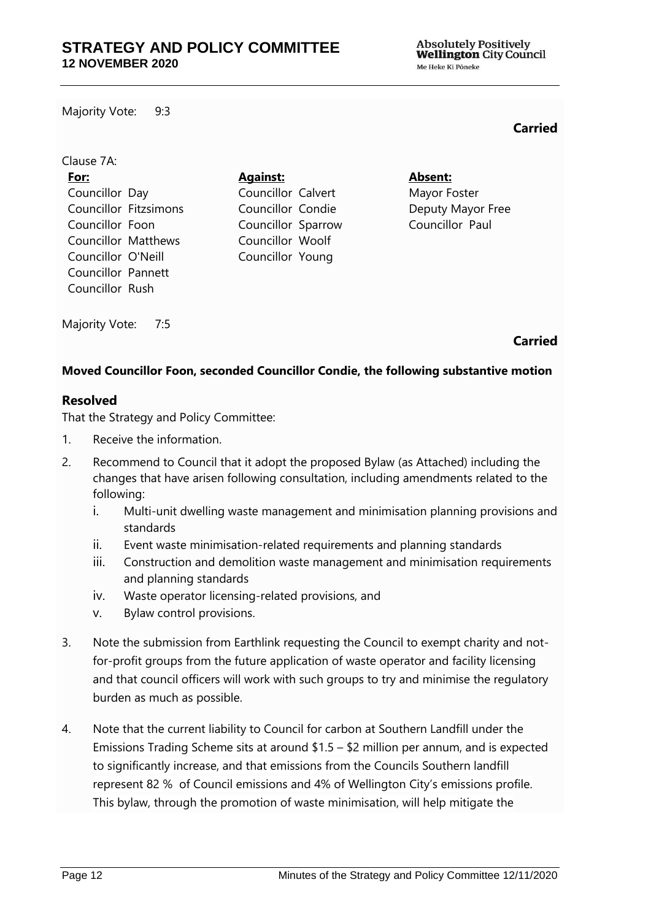Majority Vote: 9:3

### **Carried**

| Clause 7A:                   |                    |                   |
|------------------------------|--------------------|-------------------|
| For:                         | <b>Against:</b>    | Absent:           |
| Councillor Day               | Councillor Calvert | Mayor Foster      |
| <b>Councillor Fitzsimons</b> | Councillor Condie  | Deputy Mayor Free |
| Councillor Foon              | Councillor Sparrow | Councillor Paul   |
| <b>Councillor Matthews</b>   | Councillor Woolf   |                   |
| Councillor O'Neill           | Councillor Young   |                   |
| Councillor Pannett           |                    |                   |
| Councillor Rush              |                    |                   |

Majority Vote: 7:5

### **Carried**

### **Moved Councillor Foon, seconded Councillor Condie, the following substantive motion**

### **Resolved**

That the Strategy and Policy Committee:

- 1. Receive the information.
- 2. Recommend to Council that it adopt the proposed Bylaw (as Attached) including the changes that have arisen following consultation, including amendments related to the following:
	- i. Multi-unit dwelling waste management and minimisation planning provisions and standards
	- ii. Event waste minimisation-related requirements and planning standards
	- iii. Construction and demolition waste management and minimisation requirements and planning standards
	- iv. Waste operator licensing-related provisions, and
	- v. Bylaw control provisions.
- 3. Note the submission from Earthlink requesting the Council to exempt charity and notfor-profit groups from the future application of waste operator and facility licensing and that council officers will work with such groups to try and minimise the regulatory burden as much as possible.
- 4. Note that the current liability to Council for carbon at Southern Landfill under the Emissions Trading Scheme sits at around \$1.5 – \$2 million per annum, and is expected to significantly increase, and that emissions from the Councils Southern landfill represent 82 % of Council emissions and 4% of Wellington City's emissions profile. This bylaw, through the promotion of waste minimisation, will help mitigate the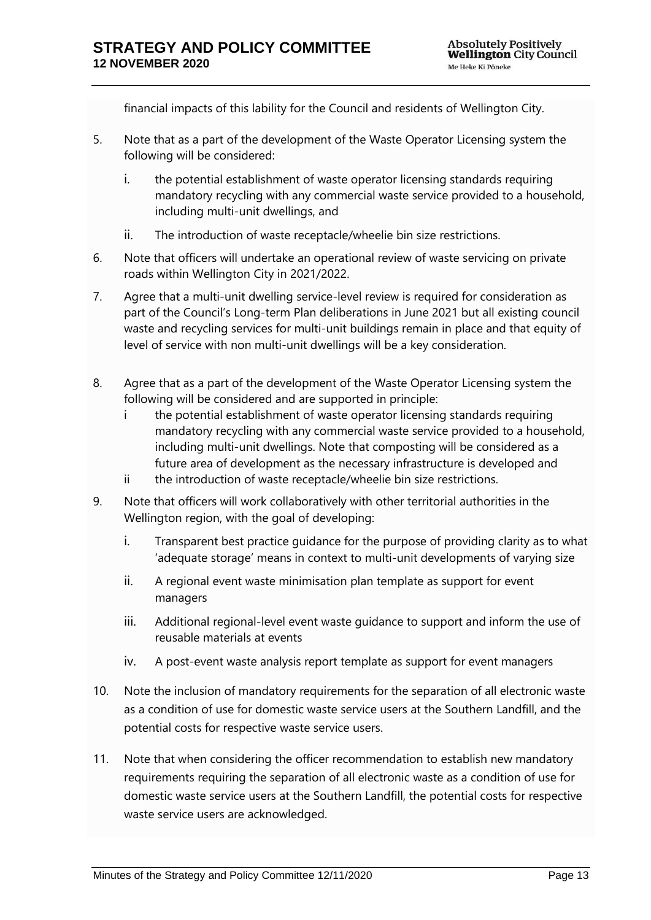financial impacts of this lability for the Council and residents of Wellington City.

- 5. Note that as a part of the development of the Waste Operator Licensing system the following will be considered:
	- i. the potential establishment of waste operator licensing standards requiring mandatory recycling with any commercial waste service provided to a household, including multi-unit dwellings, and
	- ii. The introduction of waste receptacle/wheelie bin size restrictions.
- 6. Note that officers will undertake an operational review of waste servicing on private roads within Wellington City in 2021/2022.
- 7. Agree that a multi-unit dwelling service-level review is required for consideration as part of the Council's Long-term Plan deliberations in June 2021 but all existing council waste and recycling services for multi-unit buildings remain in place and that equity of level of service with non multi-unit dwellings will be a key consideration.
- 8. Agree that as a part of the development of the Waste Operator Licensing system the following will be considered and are supported in principle:
	- i the potential establishment of waste operator licensing standards requiring mandatory recycling with any commercial waste service provided to a household, including multi-unit dwellings. Note that composting will be considered as a future area of development as the necessary infrastructure is developed and
	- ii the introduction of waste receptacle/wheelie bin size restrictions.
- 9. Note that officers will work collaboratively with other territorial authorities in the Wellington region, with the goal of developing:
	- i. Transparent best practice guidance for the purpose of providing clarity as to what 'adequate storage' means in context to multi-unit developments of varying size
	- ii. A regional event waste minimisation plan template as support for event managers
	- iii. Additional regional-level event waste guidance to support and inform the use of reusable materials at events
	- iv. A post-event waste analysis report template as support for event managers
- 10. Note the inclusion of mandatory requirements for the separation of all electronic waste as a condition of use for domestic waste service users at the Southern Landfill, and the potential costs for respective waste service users.
- 11. Note that when considering the officer recommendation to establish new mandatory requirements requiring the separation of all electronic waste as a condition of use for domestic waste service users at the Southern Landfill, the potential costs for respective waste service users are acknowledged.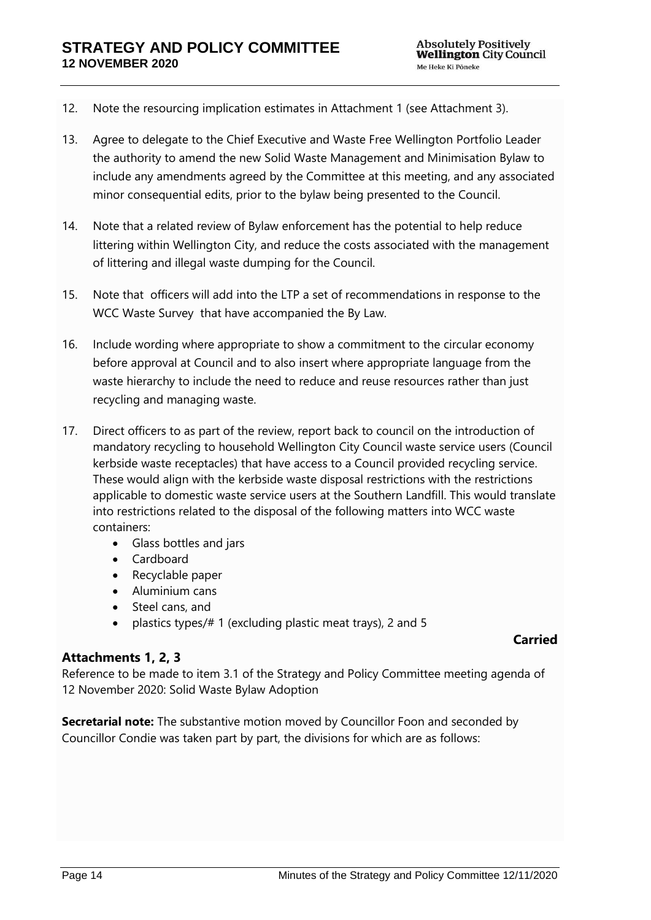- 12. Note the resourcing implication estimates in Attachment 1 (see Attachment 3).
- 13. Agree to delegate to the Chief Executive and Waste Free Wellington Portfolio Leader the authority to amend the new Solid Waste Management and Minimisation Bylaw to include any amendments agreed by the Committee at this meeting, and any associated minor consequential edits, prior to the bylaw being presented to the Council.
- 14. Note that a related review of Bylaw enforcement has the potential to help reduce littering within Wellington City, and reduce the costs associated with the management of littering and illegal waste dumping for the Council.
- 15. Note that officers will add into the LTP a set of recommendations in response to the WCC Waste Survey that have accompanied the By Law.
- 16. Include wording where appropriate to show a commitment to the circular economy before approval at Council and to also insert where appropriate language from the waste hierarchy to include the need to reduce and reuse resources rather than just recycling and managing waste.
- 17. Direct officers to as part of the review, report back to council on the introduction of mandatory recycling to household Wellington City Council waste service users (Council kerbside waste receptacles) that have access to a Council provided recycling service. These would align with the kerbside waste disposal restrictions with the restrictions applicable to domestic waste service users at the Southern Landfill. This would translate into restrictions related to the disposal of the following matters into WCC waste containers:
	- Glass bottles and jars
	- Cardboard
	- Recyclable paper
	- Aluminium cans
	- Steel cans, and
	- plastics types/# 1 (excluding plastic meat trays), 2 and 5

# **Carried**

# **Attachments 1, 2, 3**

Reference to be made to item 3.1 of the Strategy and Policy Committee meeting agenda of 12 November 2020: Solid Waste Bylaw Adoption

**Secretarial note:** The substantive motion moved by Councillor Foon and seconded by Councillor Condie was taken part by part, the divisions for which are as follows: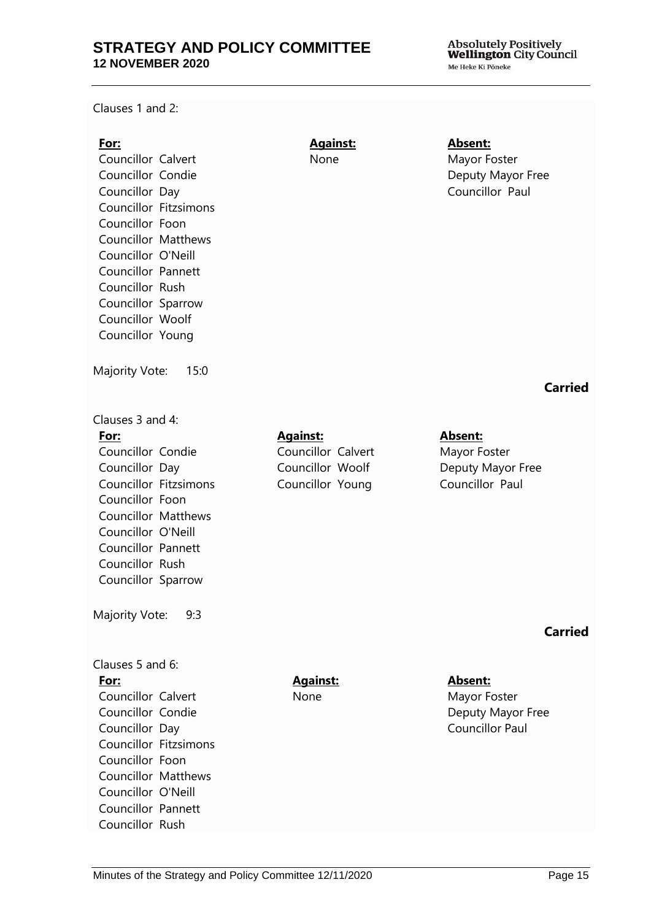Clauses 1 and 2:

### **For:**

Councillor Calvert Councillor Condie Councillor Day Councillor Fitzsimons Councillor Foon Councillor Matthews Councillor O'Neill Councillor Pannett Councillor Rush Councillor Sparrow Councillor Woolf Councillor Young

Majority Vote: 15:0

### Clauses 3 and 4: **For:** Councillor Condie Councillor Day Councillor Fitzsimons Councillor Foon Councillor Matthews Councillor O'Neill Councillor Pannett Councillor Rush

Majority Vote: 9:3

Councillor Sparrow

### Clauses 5 and 6:

### **For:**

Councillor Calvert Councillor Condie Councillor Day Councillor Fitzsimons Councillor Foon Councillor Matthews Councillor O'Neill Councillor Pannett Councillor Rush

# **Against:**  None

### **Absent:** Mayor Foster Deputy Mayor Free Councillor Paul

# **Carried**

**Against:** Councillor Calvert Councillor Woolf Councillor Young

### **Absent:** Mayor Foster Deputy Mayor Free Councillor Paul

# **Carried**

**Against:**  None

**Absent:** Mayor Foster Deputy Mayor Free Councillor Paul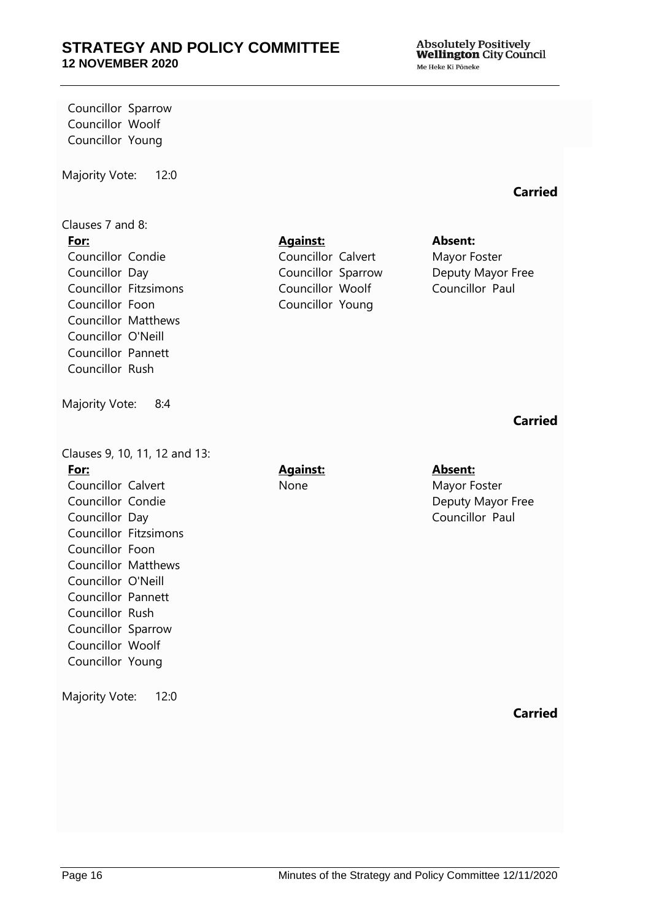Absolutely Positively<br>Wellington City Council Me Heke Ki Pöneke

Councillor Sparrow Councillor Woolf Councillor Young

Majority Vote: 12:0

#### Clauses 7 and 8: **For:**

Councillor Condie Councillor Day Councillor Fitzsimons Councillor Foon Councillor Matthews Councillor O'Neill Councillor Pannett Councillor Rush

Majority Vote: 8:4

Clauses 9, 10, 11, 12 and 13: **For:** Councillor Calvert Councillor Condie Councillor Day Councillor Fitzsimons Councillor Foon Councillor Matthews Councillor O'Neill Councillor Pannett Councillor Rush Councillor Sparrow Councillor Woolf Councillor Young Majority Vote: 12:0

### **Against:**

Councillor Calvert Councillor Sparrow Councillor Woolf Councillor Young

### **Absent:**

Mayor Foster Deputy Mayor Free Councillor Paul

# **Carried**

**Carried**

**Against:**  None

### **Absent:** Mayor Foster Deputy Mayor Free Councillor Paul

**Carried**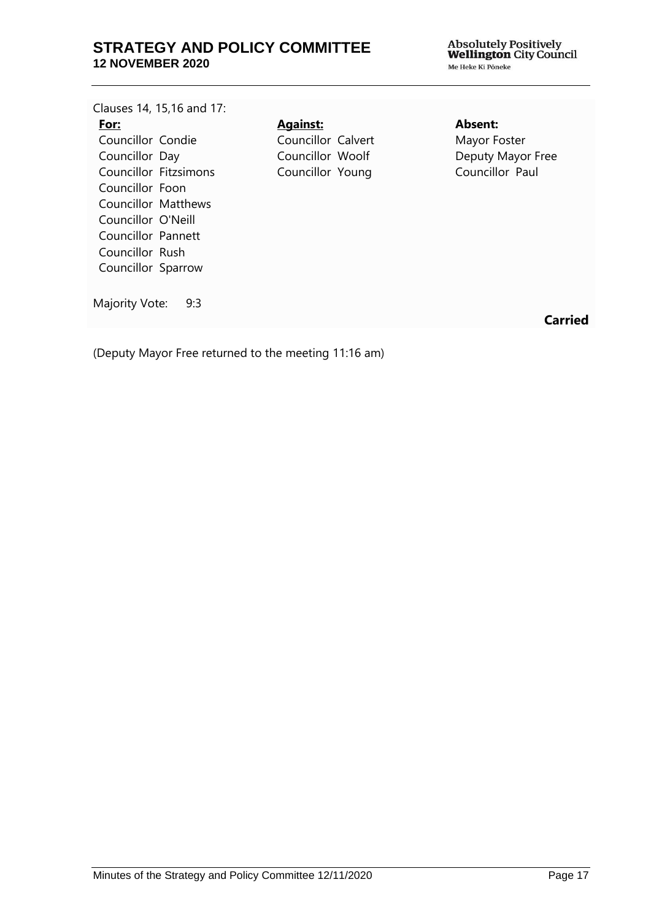| Clauses 14, 15,16 and 17: |                    |
|---------------------------|--------------------|
| For:                      | <b>Against:</b>    |
| Councillor Condie         | Councillor Calvert |
| Councillor Day            | Councillor Woolf   |
| Councillor Fitzsimons     | Councillor Young   |
| Councillor Foon           |                    |
| Councillor Matthews       |                    |
| Councillor O'Neill        |                    |
| Councillor Pannett        |                    |
| Councillor Rush           |                    |
| Councillor Sparrow        |                    |
|                           |                    |
| Majority Vote:<br>9:3     |                    |

# **Absent:**

Mayor Foster Deputy Mayor Free Councillor Paul

**Carried**

(Deputy Mayor Free returned to the meeting 11:16 am)